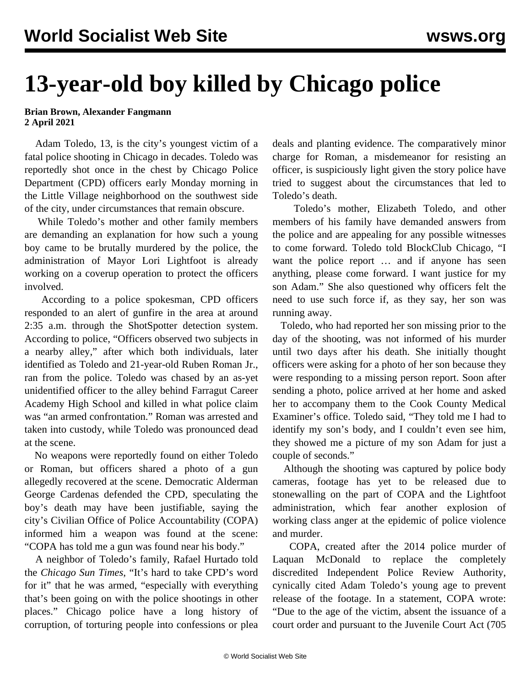## **13-year-old boy killed by Chicago police**

## **Brian Brown, Alexander Fangmann 2 April 2021**

 Adam Toledo, 13, is the city's youngest victim of a fatal police shooting in Chicago in decades. Toledo was reportedly shot once in the chest by Chicago Police Department (CPD) officers early Monday morning in the Little Village neighborhood on the southwest side of the city, under circumstances that remain obscure.

 While Toledo's mother and other family members are demanding an explanation for how such a young boy came to be brutally murdered by the police, the administration of Mayor Lori Lightfoot is already working on a coverup operation to protect the officers involved.

 According to a police spokesman, CPD officers responded to an alert of gunfire in the area at around 2:35 a.m. through the ShotSpotter detection system. According to police, "Officers observed two subjects in a nearby alley," after which both individuals, later identified as Toledo and 21-year-old Ruben Roman Jr., ran from the police. Toledo was chased by an as-yet unidentified officer to the alley behind Farragut Career Academy High School and killed in what police claim was "an armed confrontation." Roman was arrested and taken into custody, while Toledo was pronounced dead at the scene.

 No weapons were reportedly found on either Toledo or Roman, but officers shared a photo of a gun allegedly recovered at the scene. Democratic Alderman George Cardenas defended the CPD, speculating the boy's death may have been justifiable, saying the city's Civilian Office of Police Accountability (COPA) informed him a weapon was found at the scene: "COPA has told me a gun was found near his body."

 A neighbor of Toledo's family, Rafael Hurtado told the *Chicago Sun Times*, "It's hard to take CPD's word for it" that he was armed, "especially with everything that's been going on with the police shootings in other places." Chicago police have a long history of corruption, of torturing people into confessions or plea

deals and planting evidence. The comparatively minor charge for Roman, a misdemeanor for resisting an officer, is suspiciously light given the story police have tried to suggest about the circumstances that led to Toledo's death.

 Toledo's mother, Elizabeth Toledo, and other members of his family have demanded answers from the police and are appealing for any possible witnesses to come forward. Toledo told BlockClub Chicago, "I want the police report … and if anyone has seen anything, please come forward. I want justice for my son Adam." She also questioned why officers felt the need to use such force if, as they say, her son was running away.

 Toledo, who had reported her son missing prior to the day of the shooting, was not informed of his murder until two days after his death. She initially thought officers were asking for a photo of her son because they were responding to a missing person report. Soon after sending a photo, police arrived at her home and asked her to accompany them to the Cook County Medical Examiner's office. Toledo said, "They told me I had to identify my son's body, and I couldn't even see him, they showed me a picture of my son Adam for just a couple of seconds."

 Although the shooting was captured by police body cameras, footage has yet to be released due to stonewalling on the part of COPA and the Lightfoot administration, which fear another explosion of working class anger at the epidemic of police violence and murder.

 COPA, created after the 2014 police murder of Laquan McDonald to replace the completely discredited Independent Police Review Authority, cynically cited Adam Toledo's young age to prevent release of the footage. In a statement, COPA wrote: "Due to the age of the victim, absent the issuance of a court order and pursuant to the Juvenile Court Act (705